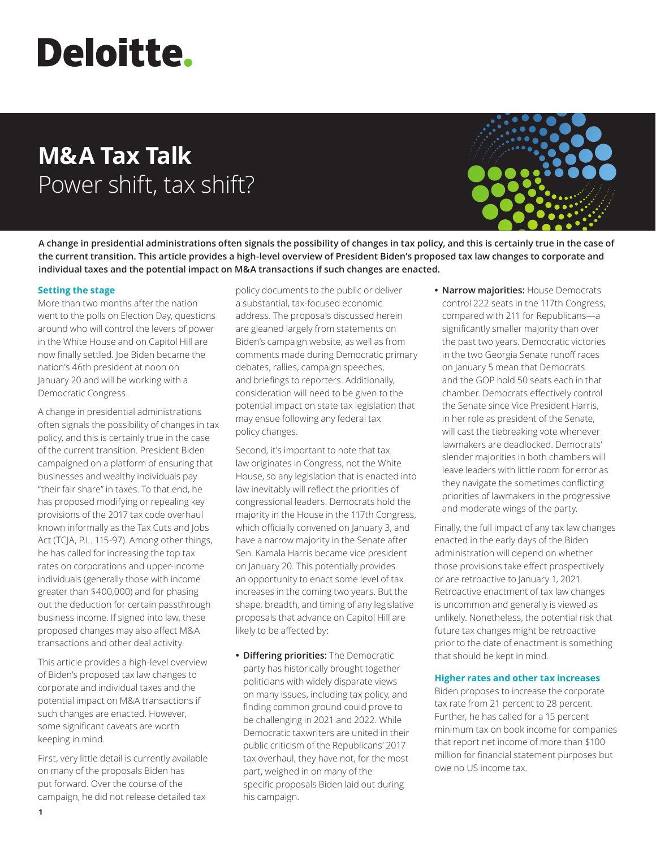# **Deloitte.**

# **M&A Tax Talk** Power shift, tax shift?



**A change in presidential administrations often signals the possibility of changes in tax policy, and this is certainly true in the case of the current transition. This article provides a high-level overview of President Biden's proposed tax law changes to corporate and individual taxes and the potential impact on M&A transactions if such changes are enacted.**

## **Setting the stage**

More than two months after the nation went to the polls on Election Day, questions around who will control the levers of power in the White House and on Capitol Hill are now finally settled. Joe Biden became the nation's 46th president at noon on January 20 and will be working with a Democratic Congress.

A change in presidential administrations often signals the possibility of changes in tax policy, and this is certainly true in the case of the current transition. President Biden campaigned on a platform of ensuring that businesses and wealthy individuals pay "their fair share" in taxes. To that end, he has proposed modifying or repealing key provisions of the 2017 tax code overhaul known informally as the Tax Cuts and Jobs Act (TCJA, P.L. 115-97). Among other things, he has called for increasing the top tax rates on corporations and upper-income individuals (generally those with income greater than \$400,000) and for phasing out the deduction for certain passthrough business income. If signed into law, these proposed changes may also affect M&A transactions and other deal activity.

This article provides a high-level overview of Biden's proposed tax law changes to corporate and individual taxes and the potential impact on M&A transactions if such changes are enacted. However, some significant caveats are worth keeping in mind.

First, very little detail is currently available on many of the proposals Biden has put forward. Over the course of the campaign, he did not release detailed tax

policy documents to the public or deliver a substantial, tax-focused economic address. The proposals discussed herein are gleaned largely from statements on Biden's campaign website, as well as from comments made during Democratic primary debates, rallies, campaign speeches, and briefings to reporters. Additionally, consideration will need to be given to the potential impact on state tax legislation that may ensue following any federal tax policy changes.

Second, it's important to note that tax law originates in Congress, not the White House, so any legislation that is enacted into law inevitably will reflect the priorities of congressional leaders. Democrats hold the majority in the House in the 117th Congress, which officially convened on January 3, and have a narrow majority in the Senate after Sen. Kamala Harris became vice president on January 20. This potentially provides an opportunity to enact some level of tax increases in the coming two years. But the shape, breadth, and timing of any legislative proposals that advance on Capitol Hill are likely to be affected by:

**• Differing priorities:** The Democratic party has historically brought together politicians with widely disparate views on many issues, including tax policy, and finding common ground could prove to be challenging in 2021 and 2022. While Democratic taxwriters are united in their public criticism of the Republicans' 2017 tax overhaul, they have not, for the most part, weighed in on many of the specific proposals Biden laid out during his campaign.

**• Narrow majorities:** House Democrats control 222 seats in the 117th Congress, compared with 211 for Republicans—a significantly smaller majority than over the past two years. Democratic victories in the two Georgia Senate runoff races on January 5 mean that Democrats and the GOP hold 50 seats each in that chamber. Democrats effectively control the Senate since Vice President Harris, in her role as president of the Senate, will cast the tiebreaking vote whenever lawmakers are deadlocked. Democrats' slender majorities in both chambers will leave leaders with little room for error as they navigate the sometimes conflicting priorities of lawmakers in the progressive and moderate wings of the party.

Finally, the full impact of any tax law changes enacted in the early days of the Biden administration will depend on whether those provisions take effect prospectively or are retroactive to January 1, 2021. Retroactive enactment of tax law changes is uncommon and generally is viewed as unlikely. Nonetheless, the potential risk that future tax changes might be retroactive prior to the date of enactment is something that should be kept in mind.

#### **Higher rates and other tax increases**

Biden proposes to increase the corporate tax rate from 21 percent to 28 percent. Further, he has called for a 15 percent minimum tax on book income for companies that report net income of more than \$100 million for financial statement purposes but owe no US income tax.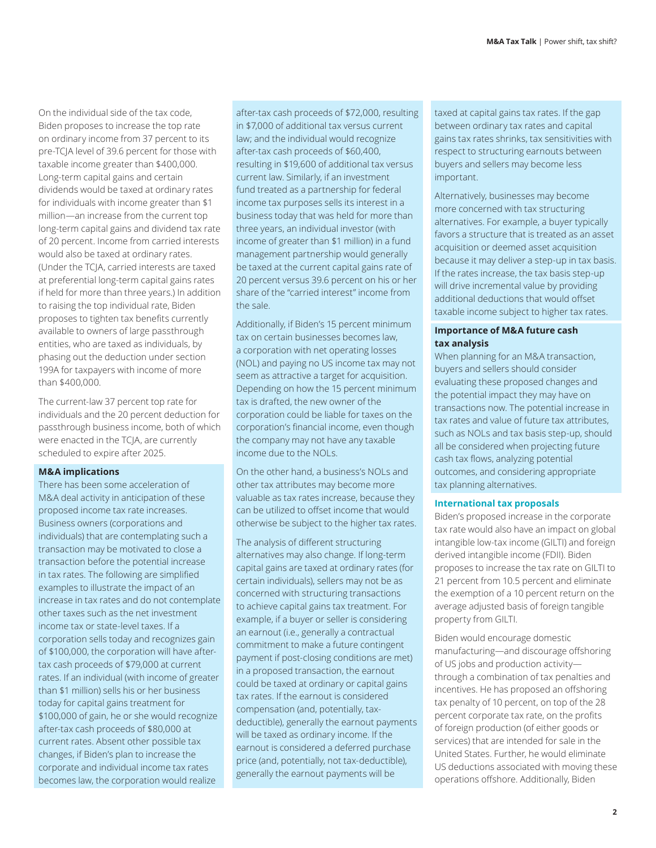On the individual side of the tax code, Biden proposes to increase the top rate on ordinary income from 37 percent to its pre-TCJA level of 39.6 percent for those with taxable income greater than \$400,000. Long-term capital gains and certain dividends would be taxed at ordinary rates for individuals with income greater than \$1 million—an increase from the current top long-term capital gains and dividend tax rate of 20 percent. Income from carried interests would also be taxed at ordinary rates. (Under the TCJA, carried interests are taxed at preferential long-term capital gains rates if held for more than three years.) In addition to raising the top individual rate, Biden proposes to tighten tax benefits currently available to owners of large passthrough entities, who are taxed as individuals, by phasing out the deduction under section 199A for taxpayers with income of more than \$400,000.

The current-law 37 percent top rate for individuals and the 20 percent deduction for passthrough business income, both of which were enacted in the TCJA, are currently scheduled to expire after 2025.

#### **M&A implications**

There has been some acceleration of M&A deal activity in anticipation of these proposed income tax rate increases. Business owners (corporations and individuals) that are contemplating such a transaction may be motivated to close a transaction before the potential increase in tax rates. The following are simplified examples to illustrate the impact of an increase in tax rates and do not contemplate other taxes such as the net investment income tax or state-level taxes. If a corporation sells today and recognizes gain of \$100,000, the corporation will have aftertax cash proceeds of \$79,000 at current rates. If an individual (with income of greater than \$1 million) sells his or her business today for capital gains treatment for \$100,000 of gain, he or she would recognize after-tax cash proceeds of \$80,000 at current rates. Absent other possible tax changes, if Biden's plan to increase the corporate and individual income tax rates becomes law, the corporation would realize

after-tax cash proceeds of \$72,000, resulting in \$7,000 of additional tax versus current law; and the individual would recognize after-tax cash proceeds of \$60,400, resulting in \$19,600 of additional tax versus current law. Similarly, if an investment fund treated as a partnership for federal income tax purposes sells its interest in a business today that was held for more than three years, an individual investor (with income of greater than \$1 million) in a fund management partnership would generally be taxed at the current capital gains rate of 20 percent versus 39.6 percent on his or her share of the "carried interest" income from the sale.

Additionally, if Biden's 15 percent minimum tax on certain businesses becomes law, a corporation with net operating losses (NOL) and paying no US income tax may not seem as attractive a target for acquisition. Depending on how the 15 percent minimum tax is drafted, the new owner of the corporation could be liable for taxes on the corporation's financial income, even though the company may not have any taxable income due to the NOLs.

On the other hand, a business's NOLs and other tax attributes may become more valuable as tax rates increase, because they can be utilized to offset income that would otherwise be subject to the higher tax rates.

The analysis of different structuring alternatives may also change. If long-term capital gains are taxed at ordinary rates (for certain individuals), sellers may not be as concerned with structuring transactions to achieve capital gains tax treatment. For example, if a buyer or seller is considering an earnout (i.e., generally a contractual commitment to make a future contingent payment if post-closing conditions are met) in a proposed transaction, the earnout could be taxed at ordinary or capital gains tax rates. If the earnout is considered compensation (and, potentially, taxdeductible), generally the earnout payments will be taxed as ordinary income. If the earnout is considered a deferred purchase price (and, potentially, not tax-deductible), generally the earnout payments will be

taxed at capital gains tax rates. If the gap between ordinary tax rates and capital gains tax rates shrinks, tax sensitivities with respect to structuring earnouts between buyers and sellers may become less important.

Alternatively, businesses may become more concerned with tax structuring alternatives. For example, a buyer typically favors a structure that is treated as an asset acquisition or deemed asset acquisition because it may deliver a step-up in tax basis. If the rates increase, the tax basis step-up will drive incremental value by providing additional deductions that would offset taxable income subject to higher tax rates.

## **Importance of M&A future cash tax analysis**

When planning for an M&A transaction, buyers and sellers should consider evaluating these proposed changes and the potential impact they may have on transactions now. The potential increase in tax rates and value of future tax attributes, such as NOLs and tax basis step-up, should all be considered when projecting future cash tax flows, analyzing potential outcomes, and considering appropriate tax planning alternatives.

### **International tax proposals**

Biden's proposed increase in the corporate tax rate would also have an impact on global intangible low-tax income (GILTI) and foreign derived intangible income (FDII). Biden proposes to increase the tax rate on GILTI to 21 percent from 10.5 percent and eliminate the exemption of a 10 percent return on the average adjusted basis of foreign tangible property from GILTI.

Biden would encourage domestic manufacturing—and discourage offshoring of US jobs and production activity through a combination of tax penalties and incentives. He has proposed an offshoring tax penalty of 10 percent, on top of the 28 percent corporate tax rate, on the profits of foreign production (of either goods or services) that are intended for sale in the United States. Further, he would eliminate US deductions associated with moving these operations offshore. Additionally, Biden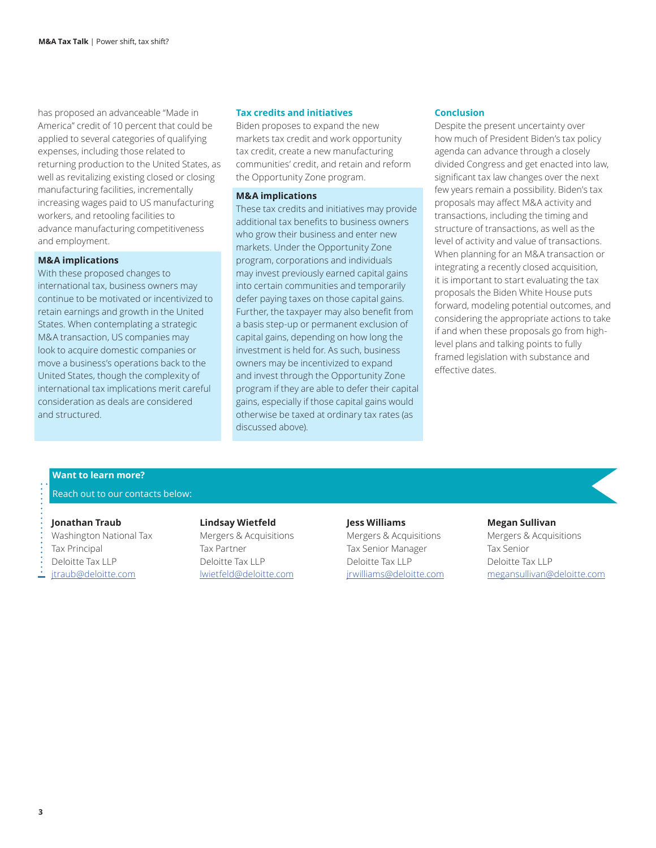has proposed an advanceable "Made in America" credit of 10 percent that could be applied to several categories of qualifying expenses, including those related to returning production to the United States, as well as revitalizing existing closed or closing manufacturing facilities, incrementally increasing wages paid to US manufacturing workers, and retooling facilities to advance manufacturing competitiveness and employment.

#### **M&A implications**

With these proposed changes to international tax, business owners may continue to be motivated or incentivized to retain earnings and growth in the United States. When contemplating a strategic M&A transaction, US companies may look to acquire domestic companies or move a business's operations back to the United States, though the complexity of international tax implications merit careful consideration as deals are considered and structured.

#### **Tax credits and initiatives**

Biden proposes to expand the new markets tax credit and work opportunity tax credit, create a new manufacturing communities' credit, and retain and reform the Opportunity Zone program.

### **M&A implications**

These tax credits and initiatives may provide additional tax benefits to business owners who grow their business and enter new markets. Under the Opportunity Zone program, corporations and individuals may invest previously earned capital gains into certain communities and temporarily defer paying taxes on those capital gains. Further, the taxpayer may also benefit from a basis step-up or permanent exclusion of capital gains, depending on how long the investment is held for. As such, business owners may be incentivized to expand and invest through the Opportunity Zone program if they are able to defer their capital gains, especially if those capital gains would otherwise be taxed at ordinary tax rates (as discussed above).

#### **Conclusion**

Despite the present uncertainty over how much of President Biden's tax policy agenda can advance through a closely divided Congress and get enacted into law, significant tax law changes over the next few years remain a possibility. Biden's tax proposals may affect M&A activity and transactions, including the timing and structure of transactions, as well as the level of activity and value of transactions. When planning for an M&A transaction or integrating a recently closed acquisition, it is important to start evaluating the tax proposals the Biden White House puts forward, modeling potential outcomes, and considering the appropriate actions to take if and when these proposals go from highlevel plans and talking points to fully framed legislation with substance and effective dates.

#### **Want to learn more?**

#### Reach out to our contacts below:

#### **Jonathan Traub**

Washington National Tax Tax Principal Deloitte Tax LLP [jtraub@deloitte.com](mailto:jtraub%40deloitte.com?subject=)

#### **Lindsay Wietfeld**

Mergers & Acquisitions Tax Partner Deloitte Tax LLP [lwietfeld@deloitte.com](mailto:lwietfeld%40deloitte.com?subject=)

#### **Jess Williams**

Mergers & Acquisitions Tax Senior Manager Deloitte Tax LLP [jrwilliams@deloitte.com](mailto:jrwilliams%40deloitte.com?subject=)

#### **Megan Sullivan**

Mergers & Acquisitions Tax Senior Deloitte Tax LLP [megansullivan@deloitte.com](mailto:megansullivan%40deloitte.com?subject=)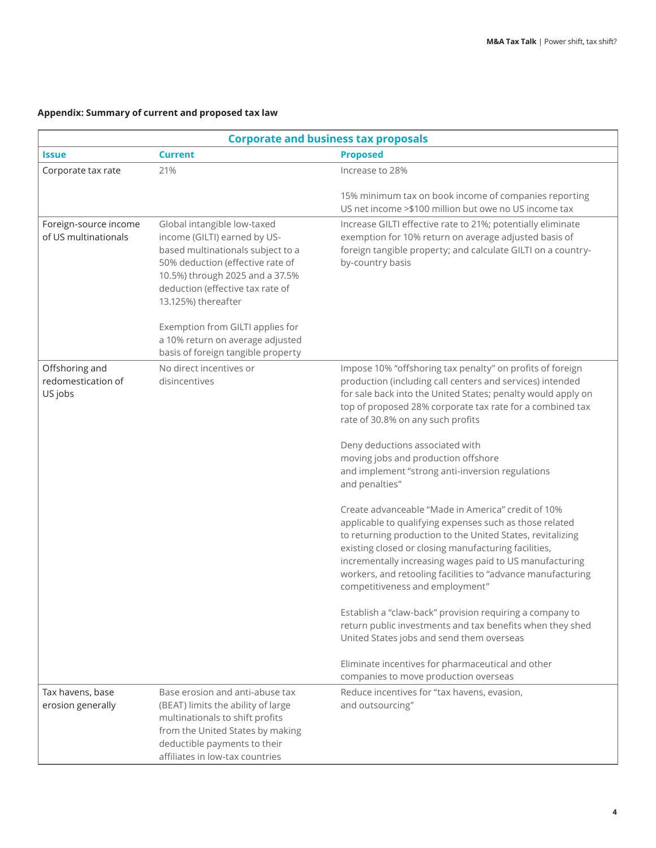# **Appendix: Summary of current and proposed tax law**

| <b>Corporate and business tax proposals</b>     |                                                                                                                                                                                                                                                                                                            |                                                                                                                                                                                                                                                                                                                                                                                                                                                                                                                                                                                                                                                                                                                                                                                                                                              |  |
|-------------------------------------------------|------------------------------------------------------------------------------------------------------------------------------------------------------------------------------------------------------------------------------------------------------------------------------------------------------------|----------------------------------------------------------------------------------------------------------------------------------------------------------------------------------------------------------------------------------------------------------------------------------------------------------------------------------------------------------------------------------------------------------------------------------------------------------------------------------------------------------------------------------------------------------------------------------------------------------------------------------------------------------------------------------------------------------------------------------------------------------------------------------------------------------------------------------------------|--|
| <b>Issue</b>                                    | <b>Current</b>                                                                                                                                                                                                                                                                                             | <b>Proposed</b>                                                                                                                                                                                                                                                                                                                                                                                                                                                                                                                                                                                                                                                                                                                                                                                                                              |  |
| Corporate tax rate                              | 21%                                                                                                                                                                                                                                                                                                        | Increase to 28%                                                                                                                                                                                                                                                                                                                                                                                                                                                                                                                                                                                                                                                                                                                                                                                                                              |  |
|                                                 |                                                                                                                                                                                                                                                                                                            | 15% minimum tax on book income of companies reporting<br>US net income > \$100 million but owe no US income tax                                                                                                                                                                                                                                                                                                                                                                                                                                                                                                                                                                                                                                                                                                                              |  |
| Foreign-source income<br>of US multinationals   | Global intangible low-taxed<br>income (GILTI) earned by US-<br>based multinationals subject to a<br>50% deduction (effective rate of<br>10.5%) through 2025 and a 37.5%<br>deduction (effective tax rate of<br>13.125%) thereafter<br>Exemption from GILTI applies for<br>a 10% return on average adjusted | Increase GILTI effective rate to 21%; potentially eliminate<br>exemption for 10% return on average adjusted basis of<br>foreign tangible property; and calculate GILTI on a country-<br>by-country basis                                                                                                                                                                                                                                                                                                                                                                                                                                                                                                                                                                                                                                     |  |
|                                                 | basis of foreign tangible property                                                                                                                                                                                                                                                                         |                                                                                                                                                                                                                                                                                                                                                                                                                                                                                                                                                                                                                                                                                                                                                                                                                                              |  |
| Offshoring and<br>redomestication of<br>US jobs | No direct incentives or<br>disincentives                                                                                                                                                                                                                                                                   | Impose 10% "offshoring tax penalty" on profits of foreign<br>production (including call centers and services) intended<br>for sale back into the United States; penalty would apply on<br>top of proposed 28% corporate tax rate for a combined tax<br>rate of 30.8% on any such profits<br>Deny deductions associated with<br>moving jobs and production offshore<br>and implement "strong anti-inversion regulations<br>and penalties"<br>Create advanceable "Made in America" credit of 10%<br>applicable to qualifying expenses such as those related<br>to returning production to the United States, revitalizing<br>existing closed or closing manufacturing facilities,<br>incrementally increasing wages paid to US manufacturing<br>workers, and retooling facilities to "advance manufacturing<br>competitiveness and employment" |  |
|                                                 |                                                                                                                                                                                                                                                                                                            | Establish a "claw-back" provision requiring a company to<br>return public investments and tax benefits when they shed<br>United States jobs and send them overseas<br>Eliminate incentives for pharmaceutical and other<br>companies to move production overseas                                                                                                                                                                                                                                                                                                                                                                                                                                                                                                                                                                             |  |
| Tax havens, base<br>erosion generally           | Base erosion and anti-abuse tax<br>(BEAT) limits the ability of large<br>multinationals to shift profits<br>from the United States by making<br>deductible payments to their<br>affiliates in low-tax countries                                                                                            | Reduce incentives for "tax havens, evasion,<br>and outsourcing"                                                                                                                                                                                                                                                                                                                                                                                                                                                                                                                                                                                                                                                                                                                                                                              |  |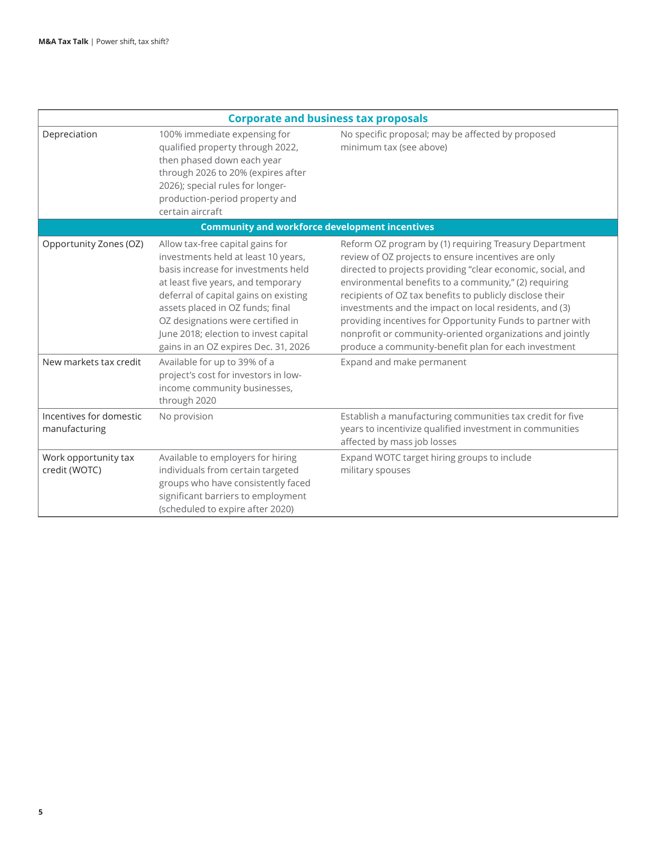| <b>Corporate and business tax proposals</b>           |                                                                                                                                                                                                                                                                                                                                                                                                                                 |                                                                                                                                                                                                                                                                                                                                                                                                                                                                                                                                                                             |  |  |
|-------------------------------------------------------|---------------------------------------------------------------------------------------------------------------------------------------------------------------------------------------------------------------------------------------------------------------------------------------------------------------------------------------------------------------------------------------------------------------------------------|-----------------------------------------------------------------------------------------------------------------------------------------------------------------------------------------------------------------------------------------------------------------------------------------------------------------------------------------------------------------------------------------------------------------------------------------------------------------------------------------------------------------------------------------------------------------------------|--|--|
| Depreciation                                          | 100% immediate expensing for<br>qualified property through 2022,<br>then phased down each year<br>through 2026 to 20% (expires after<br>2026); special rules for longer-<br>production-period property and<br>certain aircraft                                                                                                                                                                                                  | No specific proposal; may be affected by proposed<br>minimum tax (see above)                                                                                                                                                                                                                                                                                                                                                                                                                                                                                                |  |  |
| <b>Community and workforce development incentives</b> |                                                                                                                                                                                                                                                                                                                                                                                                                                 |                                                                                                                                                                                                                                                                                                                                                                                                                                                                                                                                                                             |  |  |
| Opportunity Zones (OZ)<br>New markets tax credit      | Allow tax-free capital gains for<br>investments held at least 10 years,<br>basis increase for investments held<br>at least five years, and temporary<br>deferral of capital gains on existing<br>assets placed in OZ funds; final<br>OZ designations were certified in<br>June 2018; election to invest capital<br>gains in an OZ expires Dec. 31, 2026<br>Available for up to 39% of a<br>project's cost for investors in low- | Reform OZ program by (1) requiring Treasury Department<br>review of OZ projects to ensure incentives are only<br>directed to projects providing "clear economic, social, and<br>environmental benefits to a community," (2) requiring<br>recipients of OZ tax benefits to publicly disclose their<br>investments and the impact on local residents, and (3)<br>providing incentives for Opportunity Funds to partner with<br>nonprofit or community-oriented organizations and jointly<br>produce a community-benefit plan for each investment<br>Expand and make permanent |  |  |
|                                                       | income community businesses,<br>through 2020                                                                                                                                                                                                                                                                                                                                                                                    |                                                                                                                                                                                                                                                                                                                                                                                                                                                                                                                                                                             |  |  |
| Incentives for domestic<br>manufacturing              | No provision                                                                                                                                                                                                                                                                                                                                                                                                                    | Establish a manufacturing communities tax credit for five<br>years to incentivize qualified investment in communities<br>affected by mass job losses                                                                                                                                                                                                                                                                                                                                                                                                                        |  |  |
| Work opportunity tax<br>credit (WOTC)                 | Available to employers for hiring<br>individuals from certain targeted<br>groups who have consistently faced<br>significant barriers to employment<br>(scheduled to expire after 2020)                                                                                                                                                                                                                                          | Expand WOTC target hiring groups to include<br>military spouses                                                                                                                                                                                                                                                                                                                                                                                                                                                                                                             |  |  |